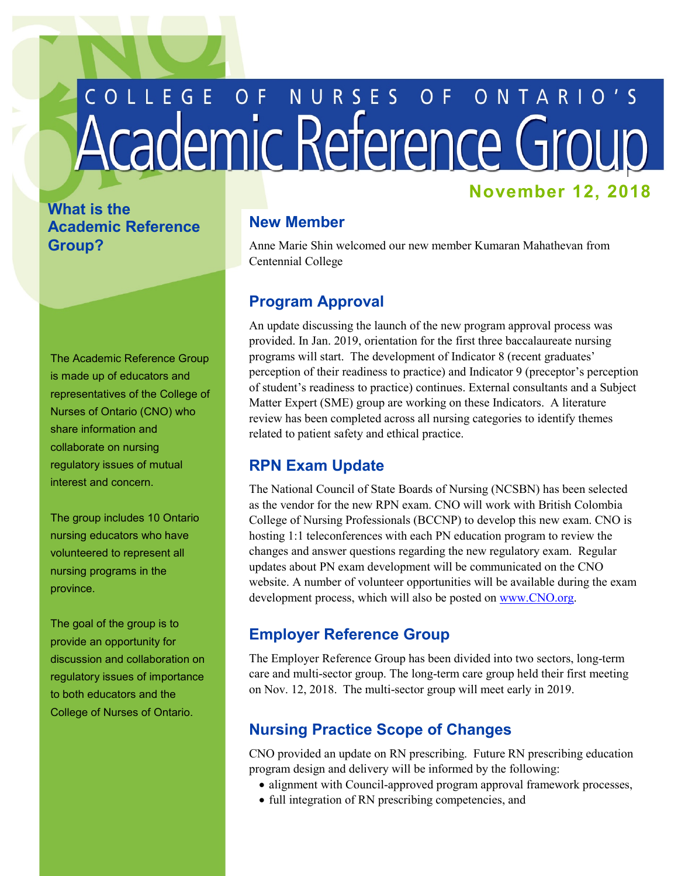# COLLEGE OF NURSES OF ONTARIO'S **November 12, 2018**

# **What is the Academic Reference Group?**

The Academic Reference Group is made up of educators and representatives of the College of Nurses of Ontario (CNO) who share information and collaborate on nursing regulatory issues of mutual interest and concern.

The group includes 10 Ontario nursing educators who have volunteered to represent all nursing programs in the province.

 provide an opportunity for The goal of the group is to discussion and collaboration on regulatory issues of importance to both educators and the College of Nurses of Ontario.

# **New Member**

 Anne Marie Shin welcomed our new member Kumaran Mahathevan from Centennial College

#### **Program Approval**

 An update discussing the launch of the new program approval process was programs will start. The development of Indicator 8 (recent graduates' review has been completed across all nursing categories to identify themes provided. In Jan. 2019, orientation for the first three baccalaureate nursing perception of their readiness to practice) and Indicator 9 (preceptor's perception of student's readiness to practice) continues. External consultants and a Subject Matter Expert (SME) group are working on these Indicators. A literature related to patient safety and ethical practice.

#### **RPN Exam Update**

The National Council of State Boards of Nursing (NCSBN) has been selected as the vendor for the new RPN exam. CNO will work with British Colombia College of Nursing Professionals (BCCNP) to develop this new exam. CNO is hosting 1:1 teleconferences with each PN education program to review the changes and answer questions regarding the new regulatory exam. Regular updates about PN exam development will be communicated on the CNO website. A number of volunteer opportunities will be available during the exam development process, which will also be posted on [www.CNO.org](http://www.cno.org).

#### **Employer Reference Group**

 care and multi-sector group. The long-term care group held their first meeting on Nov. 12, 2018. The multi-sector group will meet early in 2019. The Employer Reference Group has been divided into two sectors, long-term

# **Nursing Practice Scope of Changes**

 program design and delivery will be informed by the following: CNO provided an update on RN prescribing. Future RN prescribing education

- alignment with Council-approved program approval framework processes,
- full integration of RN prescribing competencies, and